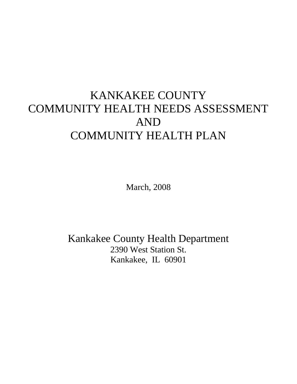## KANKAKEE COUNTY COMMUNITY HEALTH NEEDS ASSESSMENT AND COMMUNITY HEALTH PLAN

March, 2008

Kankakee County Health Department 2390 West Station St. Kankakee, IL 60901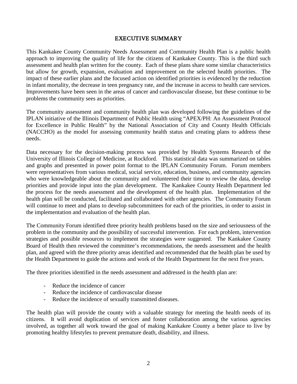## EXECUTIVE SUMMARY

This Kankakee County Community Needs Assessment and Community Health Plan is a public health approach to improving the quality of life for the citizens of Kankakee County. This is the third such assessment and health plan written for the county. Each of these plans share some similar characteristics but allow for growth, expansion, evaluation and improvement on the selected health priorities. The impact of these earlier plans and the focused action on identified priorities is evidenced by the reduction in infant mortality, the decrease in teen pregnancy rate, and the increase in access to health care services. Improvements have been seen in the areas of cancer and cardiovascular disease, but these continue to be problems the community sees as priorities.

The community assessment and community health plan was developed following the guidelines of the IPLAN initiative of the Illinois Department of Public Health using "APEX/PH: An Assessment Protocol for Excellence in Public Health" by the National Association of City and County Health Officials (NACCHO) as the model for assessing community health status and creating plans to address these needs.

Data necessary for the decision-making process was provided by Health Systems Research of the University of Illinois College of Medicine, at Rockford. This statistical data was summarized on tables and graphs and presented in power point format to the IPLAN Community Forum. Forum members were representatives from various medical, social service, education, business, and community agencies who were knowledgeable about the community and volunteered their time to review the data, develop priorities and provide input into the plan development. The Kankakee County Health Department led the process for the needs assessment and the development of the health plan. Implementation of the health plan will be conducted, facilitated and collaborated with other agencies. The Community Forum will continue to meet and plans to develop subcommittees for each of the priorities, in order to assist in the implementation and evaluation of the health plan.

The Community Forum identified three priority health problems based on the size and seriousness of the problem in the community and the possibility of successful intervention. For each problem, intervention strategies and possible resources to implement the strategies were suggested. The Kankakee County Board of Health then reviewed the committee's recommendations, the needs assessment and the health plan, and agreed with the three priority areas identified and recommended that the health plan be used by the Health Department to guide the actions and work of the Health Department for the next five years.

The three priorities identified in the needs assessment and addressed in the health plan are:

- Reduce the incidence of cancer
- Reduce the incidence of cardiovascular disease
- Reduce the incidence of sexually transmitted diseases.

The health plan will provide the county with a valuable strategy for meeting the health needs of its citizens. It will avoid duplication of services and foster collaboration among the various agencies involved, as together all work toward the goal of making Kankakee County a better place to live by promoting healthy lifestyles to prevent premature death, disability, and illness.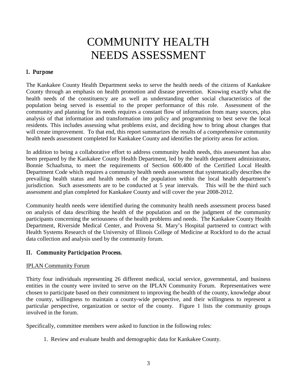## COMMUNITY HEALTH NEEDS ASSESSMENT

## I. Purpose

The Kankakee County Health Department seeks to serve the health needs of the citizens of Kankakee County through an emphasis on health promotion and disease prevention. Knowing exactly what the health needs of the constituency are as well as understanding other social characteristics of the population being served is essential to the proper performance of this role. Assessment of the community and planning for its needs requires a constant flow of information from many sources, plus analysis of that information and transformation into policy and programming to best serve the local residents. This includes assessing what problems exist, and deciding how to bring about changes that will create improvement. To that end, this report summarizes the results of a comprehensive community health needs assessment completed for Kankakee County and identifies the priority areas for action.

In addition to being a collaborative effort to address community health needs, this assessment has also been prepared by the Kankakee County Health Department, led by the health department administrator, Bonnie Schaafsma, to meet the requirements of Section 600.400 of the Certified Local Health Department Code which requires a community health needs assessment that systematically describes the prevailing health status and health needs of the population within the local health department's jurisdiction. Such assessments are to be conducted at 5 year intervals. This will be the third such assessment and plan completed for Kankakee County and will cover the year 2008-2012.

Community health needs were identified during the community health needs assessment process based on analysis of data describing the health of the population and on the judgment of the community participants concerning the seriousness of the health problems and needs. The Kankakee County Health Department, Riverside Medical Center, and Provena St. Mary's Hospital partnered to contract with Health Systems Research of the University of Illinois College of Medicine at Rockford to do the actual data collection and analysis used by the community forum.

## II. Community Participation Process.

## IPLAN Community Forum

Thirty four individuals representing 26 different medical, social service, governmental, and business entities in the county were invited to serve on the IPLAN Community Forum. Representatives were chosen to participate based on their commitment to improving the health of the county, knowledge about the county, willingness to maintain a county-wide perspective, and their willingness to represent a particular perspective, organization or sector of the county. Figure 1 lists the community groups involved in the forum.

Specifically, committee members were asked to function in the following roles:

1. Review and evaluate health and demographic data for Kankakee County.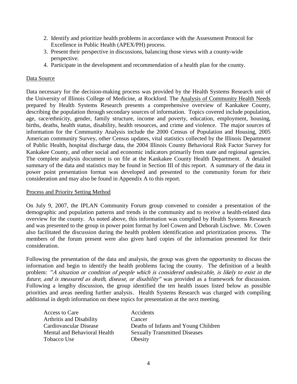- 2. Identify and prioritize health problems in accordance with the Assessment Protocol for Excellence in Public Health (APEX/PH) process.
- 3. Present their perspective in discussions, balancing those views with a county-wide perspective.
- 4. Participate in the development and recommendation of a health plan for the county.

## Data Source

Data necessary for the decision-making process was provided by the Health Systems Research unit of the University of Illinois College of Medicine, at Rockford. The Analysis of Community Health Needs prepared by Health Systems Research presents a comprehensive overview of Kankakee County, describing the population through secondary sources of information. Topics covered include population, age, race/ethnicity, gender, family structure, income and poverty, education, employment, housing, births, deaths, health status, disability, health resources, and crime and violence. The major sources of information for the Community Analysis include the 2000 Census of Population and Housing, 2005 American community Survey, other Census updates, vital statistics collected by the Illinois Department of Public Health, hospital discharge data, the 2004 Illinois County Behavioral Risk Factor Survey for Kankakee County, and other social and economic indicators primarily from state and regional agencies. The complete analysis document is on file at the Kankakee County Health Department. A detailed summary of the data and statistics may be found in Section III of this report. A summary of the data in power point presentation format was developed and presented to the community forum for their consideration and may also be found in Appendix A to this report.

## Process and Priority Setting Method

On July 9, 2007, the IPLAN Community Forum group convened to consider a presentation of the demographic and population patterns and trends in the community and to receive a health-related data overview for the county. As noted above, this information was complied by Health Systems Research and was presented to the group in power point format by Joel Cowen and Deborah Lischwe. Mr. Cowen also facilitated the discussion during the health problem identification and prioritization process. The members of the forum present were also given hard copies of the information presented for their consideration.

Following the presentation of the data and analysis, the group was given the opportunity to discuss the information and begin to identify the health problems facing the county. The definition of a health problem: "A situation or condition of people which is considered undesirable, is likely to exist in the future, and is measured as death, disease, or disability" was provided as a framework for discussion. Following a lengthy discussion, the group identified the ten health issues listed below as possible priorities and areas needing further analysis. Health Systems Research was charged with compiling additional in depth information on these topics for presentation at the next meeting.

| Access to Care                  | Accidents                            |
|---------------------------------|--------------------------------------|
| <b>Arthritis and Disability</b> | Cancer                               |
| Cardiovascular Disease          | Deaths of Infants and Young Children |
| Mental and Behavioral Health    | <b>Sexually Transmitted Diseases</b> |
| Tobacco Use                     | Obesity                              |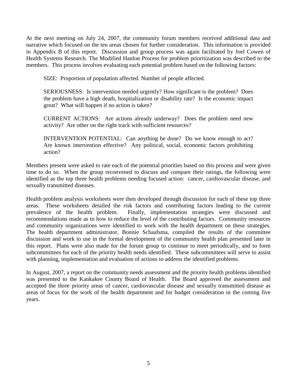At the next meeting on July 24, 2007, the community forum members received additional data and narrative which focused on the ten areas chosen for further consideration. This information is provided in Appendix B of this report. Discussion and group process was again facilitated by Joel Cowen of Health Systems Research. The Modified Hanlon Process for problem prioritization was described to the members. This process involves evaluating each potential problem based on the following factors:

SIZE: Proportion of population affected. Number of people affected.

SERIOUSNESS: Is intervention needed urgently? How significant is the problem? Does the problem have a high death, hospitalization or disability rate? Is the economic impact great? What will happen if no action is taken?

CURRENT ACTIONS: Are actions already underway? Does the problem need new activity? Are other on the right track with sufficient resources?

INTERVENTION POTENTIAL: Can anything be done? Do we know enough to act? Are known intervention effective? Any political, social, economic factors prohibiting action?

Members present were asked to rate each of the potential priorities based on this process and were given time to do so. When the group reconvened to discuss and compare their ratings, the following were identified as the top three health problems needing focused action: cancer, cardiovascular disease, and sexually transmitted diseases.

Health problem analysis worksheets were then developed through discussion for each of these top three areas. These worksheets detailed the risk factors and contributing factors leading to the current prevalence of the health problem. Finally, implementation strategies were discussed and recommendations made as to how to reduce the level of the contributing factors. Community resources and community organizations were identified to work with the health department on these strategies. The health department administrator, Bonnie Schaafsma, compiled the results of the committee discussion and work to use in the formal development of the community health plan presented later in this report. Plans were also made for the forum group to continue to meet periodically, and to form subcommittees for each of the priority health needs identified. These subcommittees will serve to assist with planning, implementation and evaluation of actions to address the identified problems.

In August, 2007, a report on the community needs assessment and the priority health problems identified was presented to the Kankakee County Board of Health. The Board approved the assessment and accepted the three priority areas of cancer, cardiovascular disease and sexually transmitted disease as areas of focus for the work of the health department and for budget consideration in the coming five years.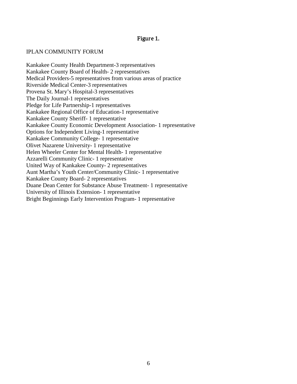## Figure 1.

#### IPLAN COMMUNITY FORUM

Kankakee County Health Department-3 representatives Kankakee County Board of Health- 2 representatives Medical Providers-5 representatives from various areas of practice Riverside Medical Center-3 representatives Provena St. Mary's Hospital-3 representatives The Daily Journal-1 representatives Pledge for Life Partnership-1 representatives Kankakee Regional Office of Education-1 representative Kankakee County Sheriff- 1 representative Kankakee County Economic Development Association- 1 representative Options for Independent Living-1 representative Kankakee Community College- 1 representative Olivet Nazarene University- 1 representative Helen Wheeler Center for Mental Health- 1 representative Azzarelli Community Clinic- 1 representative United Way of Kankakee County- 2 representatives Aunt Martha's Youth Center/Community Clinic- 1 representative Kankakee County Board- 2 representatives Duane Dean Center for Substance Abuse Treatment- 1 representative University of Illinois Extension- 1 representative Bright Beginnings Early Intervention Program- 1 representative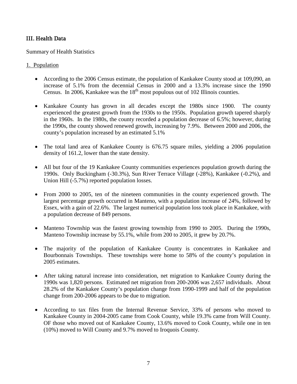## III. Health Data

## Summary of Health Statistics

## 1. Population

- According to the 2006 Census estimate, the population of Kankakee County stood at 109,090, an increase of 5.1% from the decennial Census in 2000 and a 13.3% increase since the 1990 Census. In 2006, Kankakee was the  $18<sup>th</sup>$  most populous out of 102 Illinois counties.
- Kankakee County has grown in all decades except the 1980s since 1900. The county experienced the greatest growth from the 1930s to the 1950s. Population growth tapered sharply in the 1960s. In the 1980s, the county recorded a population decrease of 6.5%; however, during the 1990s, the county showed renewed growth, increasing by 7.9%. Between 2000 and 2006, the county's population increased by an estimated 5.1%
- The total land area of Kankakee County is 676.75 square miles, yielding a 2006 population density of 161.2, lower than the state density.
- All but four of the 19 Kankakee County communities experiences population growth during the 1990s. Only Buckingham (-30.3%), Sun River Terrace Village (-28%), Kankakee (-0.2%), and Union Hill (-5.7%) reported population losses.
- From 2000 to 2005, ten of the nineteen communities in the county experienced growth. The largest percentage growth occurred in Manteno, with a population increase of 24%, followed by Essex, with a gain of 22.6%. The largest numerical population loss took place in Kankakee, with a population decrease of 849 persons.
- Manteno Township was the fastest growing township from 1990 to 2005. During the 1990s, Manteno Township increase by 55.1%, while from 200 to 2005, it grew by 20.7%.
- The majority of the population of Kankakee County is concentrates in Kankakee and Bourbonnais Townships. These townships were home to 58% of the county's population in 2005 estimates.
- After taking natural increase into consideration, net migration to Kankakee County during the 1990s was 1,820 persons. Estimated net migration from 200-2006 was 2,657 individuals. About 28.2% of the Kankakee County's population change from 1990-1999 and half of the population change from 200-2006 appears to be due to migration.
- According to tax files from the Internal Revenue Service, 33% of persons who moved to Kankakee County in 2004-2005 came from Cook County, while 19.3% came from Will County. OF those who moved out of Kankakee County, 13.6% moved to Cook County, while one in ten (10%) moved to Will County and 9.7% moved to Iroquois County.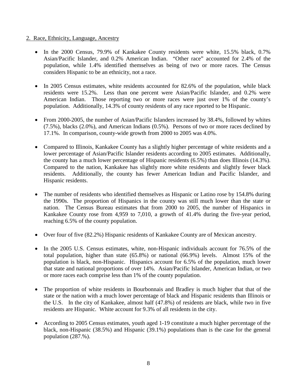#### 2. Race, Ethnicity, Language, Ancestry

- In the 2000 Census, 79.9% of Kankakee County residents were white, 15.5% black, 0.7% Asian/Pacific Islander, and 0.2% American Indian. "Other race" accounted for 2.4% of the population, while 1.4% identified themselves as being of two or more races. The Census considers Hispanic to be an ethnicity, not a race.
- In 2005 Census estimates, white residents accounted for 82.6% of the population, while black residents were 15.2%. Less than one percent were Asian/Pacific Islander, and 0.2% were American Indian. Those reporting two or more races were just over 1% of the county's population. Additionally, 14.3% of county residents of any race reported to be Hispanic.
- From 2000-2005, the number of Asian/Pacific Islanders increased by 38.4%, followed by whites (7.5%), blacks (2.0%), and American Indians (0.5%). Persons of two or more races declined by 17.1%. In comparison, county-wide growth from 2000 to 2005 was 4.0%.
- Compared to Illinois, Kankakee County has a slightly higher percentage of white residents and a lower percentage of Asian/Pacific Islander residents according to 2005 estimates. Additionally, the county has a much lower percentage of Hispanic residents (6.5%) than does Illinois (14.3%). Compared to the nation, Kankakee has slightly more white residents and slightly fewer black residents. Additionally, the county has fewer American Indian and Pacific Islander, and Hispanic residents.
- The number of residents who identified themselves as Hispanic or Latino rose by 154.8% during the 1990s. The proportion of Hispanics in the county was still much lower than the state or nation. The Census Bureau estimates that from 2000 to 2005, the number of Hispanics in Kankakee County rose from 4,959 to 7,010, a growth of 41.4% during the five-year period, reaching 6.5% of the county population.
- Over four of five (82.2%) Hispanic residents of Kankakee County are of Mexican ancestry.
- In the 2005 U.S. Census estimates, white, non-Hispanic individuals account for 76.5% of the total population, higher than state (65.8%) or national (66.9%) levels. Almost 15% of the population is black, non-Hispanic. Hispanics account for 6.5% of the population, much lower that state and national proportions of over 14%. Asian/Pacific Islander, American Indian, or two or more races each comprise less than 1% of the county population.
- The proportion of white residents in Bourbonnais and Bradley is much higher that that of the state or the nation with a much lower percentage of black and Hispanic residents than Illinois or the U.S. In the city of Kankakee, almost half (47.8%) of residents are black, while two in five residents are Hispanic. White account for 9.3% of all residents in the city.
- According to 2005 Census estimates, youth aged 1-19 constitute a much higher percentage of the black, non-Hispanic (38.5%) and Hispanic (39.1%) populations than is the case for the general population (287.%).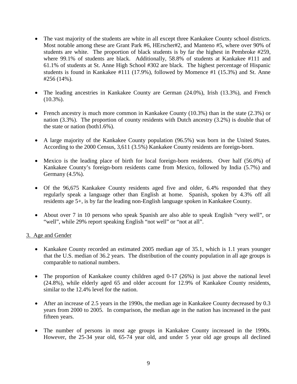- The vast majority of the students are white in all except three Kankakee County school districts. Most notable among these are Grant Park #6, HErscher#2, and Manteno #5, where over 90% of students are white. The proportion of black students is by far the highest in Pembroke #259, where 99.1% of students are black. Additionally, 58.8% of students at Kankakee #111 and 61.1% of students at St. Anne High School #302 are black. The highest percentage of Hispanic students is found in Kankakee #111 (17.9%), followed by Momence #1 (15.3%) and St. Anne #256 (14%).
- The leading ancestries in Kankakee County are German (24.0%), Irish (13.3%), and French  $(10.3\%)$ .
- French ancestry is much more common in Kankakee County (10.3%) than in the state (2.3%) or nation (3.3%). The proportion of county residents with Dutch ancestry (3.2%) is double that of the state or nation (both1.6%).
- A large majority of the Kankakee County population (96.5%) was born in the United States. According to the 2000 Census, 3,611 (3.5%) Kankakee County residents are foreign-born.
- Mexico is the leading place of birth for local foreign-born residents. Over half (56.0%) of Kankakee County's foreign-born residents came from Mexico, followed by India (5.7%) and Germany (4.5%).
- Of the 96,675 Kankakee County residents aged five and older, 6.4% responded that they regularly speak a language other than English at home. Spanish, spoken by 4.3% off all residents age 5+, is by far the leading non-English language spoken in Kankakee County.
- About over 7 in 10 persons who speak Spanish are also able to speak English "very well", or "well", while 29% report speaking English "not well" or "not at all".

## 3. Age and Gender

- Kankakee County recorded an estimated 2005 median age of 35.1, which is 1.1 years younger that the U.S. median of 36.2 years. The distribution of the county population in all age groups is comparable to national numbers.
- The proportion of Kankakee county children aged 0-17 (26%) is just above the national level (24.8%), while elderly aged 65 and older account for 12.9% of Kankakee County residents, similar to the 12.4% level for the nation.
- After an increase of 2.5 years in the 1990s, the median age in Kankakee County decreased by 0.3 years from 2000 to 2005. In comparison, the median age in the nation has increased in the past fifteen years.
- The number of persons in most age groups in Kankakee County increased in the 1990s. However, the 25-34 year old, 65-74 year old, and under 5 year old age groups all declined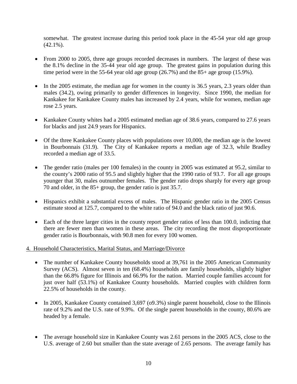somewhat. The greatest increase during this period took place in the 45-54 year old age group  $(42.1\%)$ .

- From 2000 to 2005, three age groups recorded decreases in numbers. The largest of these was the 8.1% decline in the 35-44 year old age group. The greatest gains in population during this time period were in the 55-64 year old age group (26.7%) and the 85+ age group (15.9%).
- In the 2005 estimate, the median age for women in the county is 36.5 years, 2.3 years older than males (34.2), owing primarily to gender differences in longevity. Since 1990, the median for Kankakee for Kankakee County males has increased by 2.4 years, while for women, median age rose 2.5 years.
- Kankakee County whites had a 2005 estimated median age of 38.6 years, compared to 27.6 years for blacks and just 24.9 years for Hispanics.
- Of the three Kankakee County places with populations over 10,000, the median age is the lowest in Bourbonnais (31.9). The City of Kankakee reports a median age of 32.3, while Bradley recorded a median age of 33.5.
- The gender ratio (males per 100 females) in the county in 2005 was estimated at 95.2, similar to the county's 2000 ratio of 95.5 and slightly higher that the 1990 ratio of 93.7. For all age groups younger that 30, males outnumber females. The gender ratio drops sharply for every age group 70 and older, in the 85+ group, the gender ratio is just 35.7.
- Hispanics exhibit a substantial excess of males. The Hispanic gender ratio in the 2005 Census estimate stood at 125.7, compared to the white ratio of 94.0 and the black ratio of just 90.6.
- Each of the three larger cities in the county report gender ratios of less than 100.0, indicting that there are fewer men than women in these areas. The city recording the most disproportionate gender ratio is Bourbonnais, with 90.8 men for every 100 women.

## 4. Household Characteristics, Marital Status, and Marriage/Divorce

- The number of Kankakee County households stood at 39,761 in the 2005 American Community Survey (ACS). Almost seven in ten (68.4%) households are family households, slightly higher than the 66.8% figure for Illinois and 66.9% for the nation. Married couple families account for just over half (53.1%) of Kankakee County households. Married couples with children form 22.5% of households in the county.
- In 2005, Kankakee County contained 3,697 (09.3%) single parent household, close to the Illinois rate of 9.2% and the U.S. rate of 9.9%. Of the single parent households in the county, 80.6% are headed by a female.
- The average household size in Kankakee County was 2.61 persons in the 2005 ACS, close to the U.S. average of 2.60 but smaller than the state average of 2.65 persons. The average family has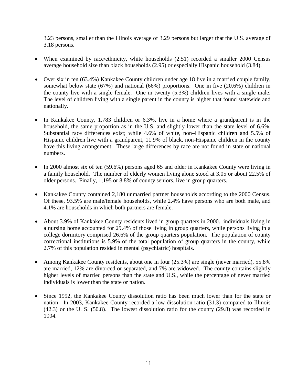3.23 persons, smaller than the Illinois average of 3.29 persons but larger that the U.S. average of 3.18 persons.

- When examined by race/ethnicity, white households (2.51) recorded a smaller 2000 Census average household size than black households (2.95) or especially Hispanic household (3.84).
- Over six in ten (63.4%) Kankakee County children under age 18 live in a married couple family, somewhat below state (67%) and national (66%) proportions. One in five (20.6%) children in the county live with a single female. One in twenty (5.3%) children lives with a single male. The level of children living with a single parent in the county is higher that found statewide and nationally.
- In Kankakee County, 1,783 children or 6.3%, live in a home where a grandparent is in the household, the same proportion as in the U.S. and slightly lower than the state level of 6.6%. Substantial race differences exist; while 4.6% of white, non–Hispanic children and 5.5% of Hispanic children live with a grandparent, 11.9% of black, non-Hispanic children in the county have this living arrangement. These large differences by race are not found in state or national numbers.
- In 2000 almost six of ten (59.6%) persons aged 65 and older in Kankakee County were living in a family household. The number of elderly women living alone stood at 3.05 or about 22.5% of older persons. Finally, 1,195 or 8.8% of county seniors, live in group quarters.
- Kankakee County contained 2,180 unmarried partner households according to the 2000 Census. Of these, 93.5% are male/female households, while 2.4% have persons who are both male, and 4.1% are households in which both partners are female.
- About 3.9% of Kankakee County residents lived in group quarters in 2000. individuals living in a nursing home accounted for 29.4% of those living in group quarters, while persons living in a college dormitory comprised 26.6% of the group quarters population. The population of county correctional institutions is 5.9% of the total population of group quarters in the county, while 2.7% of this population resided in mental (psychiatric) hospitals.
- Among Kankakee County residents, about one in four (25.3%) are single (never married), 55.8% are married, 12% are divorced or separated, and 7% are widowed. The county contains slightly higher levels of married persons than the state and U.S., while the percentage of never married individuals is lower than the state or nation.
- Since 1992, the Kankakee County dissolution ratio has been much lower than for the state or nation. In 2003, Kankakee County recorded a low dissolution ratio (31.3) compared to Illinois (42.3) or the U. S. (50.8). The lowest dissolution ratio for the county (29.8) was recorded in 1994.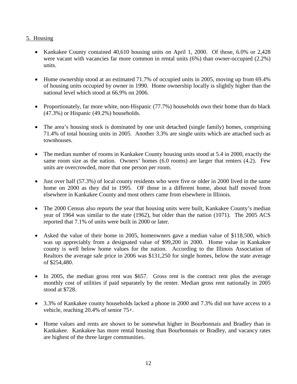## 5. Housing

- Kankakee County contained 40,610 housing units on April 1, 2000. Of those, 6.0% or 2,428 were vacant with vacancies far more common in rental units (6%) than owner-occupied (2.2%) units.
- Home ownership stood at an estimated 71.7% of occupied units in 2005, moving up from 69.4% of housing units occupied by owner in 1990. Home ownership locally is slightly higher than the national level which stood at 66.9% on 2006.
- Proportionately, far more white, non-Hispanic (77.7%) households own their home than do black (47.3%) or Hispanic (49.2%) households.
- The area's housing stock is dominated by one unit detached (single family) homes, comprising 71.4% of total housing units in 2005. Another 3.3% are single units which are attached such as townhouses.
- The median number of rooms in Kankakee County housing units stood at 5.4 in 2000, exactly the same room size as the nation. Owners' homes (6.0 rooms) are larger that renters (4.2). Few units are overcrowded, more that one person per room.
- Just over half (57.3%) of local county residents who were five or older in 2000 lived in the same home on 2000 as they did in 1995. OF those in a different home, about half moved from elsewhere in Kankakee County and most others came from elsewhere in Illinois.
- The 2000 Census also reports the year that housing units were built, Kankakee County's median year of 1964 was similar to the state (1962), but older than the nation (1071). The 2005 ACS reported that 7.1% of units were built in 2000 or later.
- Asked the value of their home in 2005, homeowners gave a median value of \$118,500, which was up appreciably from a designated value of \$99,200 in 2000. Home value in Kankakee county is well below home values for the nation. According to the Illinois Association of Realtors the average sale price in 2006 was \$131,250 for single homes, below the state average of \$254,480.
- In 2005, the median gross rent was \$657. Gross rent is the contract rent plus the average monthly cost of utilities if paid separately by the renter. Median gross rent nationally in 2005 stood at \$728.
- 3.3% of Kankakee county households lacked a phone in 2000 and 7.3% did not have access to a vehicle, reaching 20.4% of senior 75+.
- Home values and rents are shown to be somewhat higher in Bourbonnais and Bradley than in Kankakee. Kankakee has more rental housing than Bourbonnais or Bradley, and vacancy rates are highest of the three larger communities.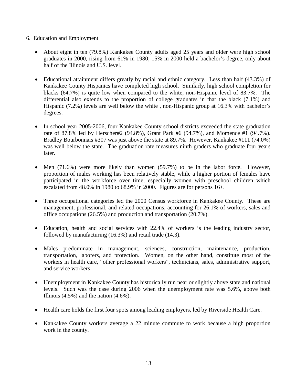## 6. Education and Employment

- About eight in ten (79.8%) Kankakee County adults aged 25 years and older were high school graduates in 2000, rising from 61% in 1980; 15% in 2000 held a bachelor's degree, only about half of the Illinois and U.S. level.
- Educational attainment differs greatly by racial and ethnic category. Less than half (43.3%) of Kankakee County Hispanics have completed high school. Similarly, high school completion for blacks (64.7%) is quite low when compared to the white, non-Hispanic level of 83.7%. The differential also extends to the proportion of college graduates in that the black (7.1%) and Hispanic (7.2%) levels are well below the white , non-Hispanic group at 16.3% with bachelor's degrees.
- In school year 2005-2006, four Kankakee County school districts exceeded the state graduation rate of 87.8% led by Herscher#2 (94.8%), Grant Park #6 (94.7%), and Momence #1 (94.7%). Bradley Bourbonnais #307 was just above the state at 89.7%. However, Kankakee #111 (74.0%) was well below the state. The graduation rate measures ninth graders who graduate four years later.
- Men (71.6%) were more likely than women (59.7%) to be in the labor force. However, proportion of males working has been relatively stable, while a higher portion of females have participated in the workforce over time, especially women with preschool children which escalated from 48.0% in 1980 to 68.9% in 2000. Figures are for persons 16+.
- Three occupational categories led the 2000 Census workforce in Kankakee County. These are management, professional, and related occupations, accounting for 26.1% of workers, sales and office occupations (26.5%) and production and transportation (20.7%).
- Education, health and social services with 22.4% of workers is the leading industry sector, followed by manufacturing (16.3%) and retail trade (14.3).
- Males predominate in management, sciences, construction, maintenance, production, transportation, laborers, and protection. Women, on the other hand, constitute most of the workers in health care, "other professional workers", technicians, sales, administrative support, and service workers.
- Unemployment in Kankakee County has historically run near or slightly above state and national levels. Such was the case during 2006 when the unemployment rate was 5.6%, above both Illinois  $(4.5\%)$  and the nation  $(4.6\%)$ .
- Health care holds the first four spots among leading employers, led by Riverside Health Care.
- Kankakee County workers average a 22 minute commute to work because a high proportion work in the county.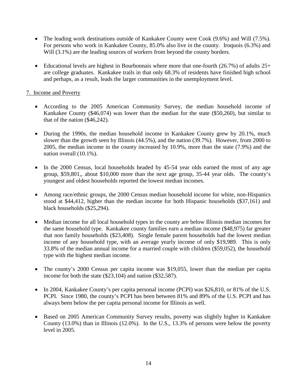- The leading work destinations outside of Kankakee County were Cook (9.6%) and Will (7.5%). For persons who work in Kankakee County, 85.0% also live in the county. Iroquois (6.3%) and Will  $(3.1\%)$  are the leading sources of workers from beyond the county borders.
- Educational levels are highest in Bourbonnais where more that one-fourth  $(26.7%)$  of adults  $25+$ are college graduates. Kankakee trails in that only 68.3% of residents have finished high school and perhaps, as a result, leads the larger communities in the unemployment level.

## 7. Income and Poverty

- According to the 2005 American Community Survey, the median household income of Kankakee County (\$46,074) was lower than the median for the state (\$50,260), but similar to that of the nation (\$46,242).
- During the 1990s, the median household income in Kankakee County grew by 20.1%, much slower than the growth seen by Illinois (44.5%), and the nation (39.7%). However, from 2000 to 2005, the median income in the county increased by 10.9%, more than the state (7.9%) and the nation overall (10.1%).
- In the 2000 Census, local households headed by 45-54 year olds earned the most of any age group, \$59,801,, about \$10,000 more than the next age group, 35-44 year olds. The county's youngest and oldest households reported the lowest median incomes.
- Among race/ethnic groups, the 2000 Census median household income for white, non-Hispanics stood at \$44,412, higher than the median income for both Hispanic households (\$37,161) and black households (\$25,294).
- Median income for all local household types in the county are below Illinois median incomes for the same household type. Kankakee county families earn a median income (\$48,975) far greater that non family households (\$23,408). Single female parent households had the lowest median income of any household type, with an average yearly income of only \$19,989. This is only 33.8% of the median annual income for a married couple with children (\$59,052), the household type with the highest median income.
- The county's 2000 Census per capita income was \$19,055, lower than the median per capita income for both the state (\$23,104) and nation (\$32,587).
- In 2004, Kankakee County's per capita personal income (PCPI) was \$26,810, or 81% of the U.S. PCPI. Since 1980, the county's PCPI has been between 81% and 89% of the U.S. PCPI and has always been below the per capita personal income for Illinois as well.
- Based on 2005 American Community Survey results, poverty was slightly higher in Kankakee County (13.0%) than in Illinois (12.0%). In the U.S., 13.3% of persons were below the poverty level in 2005.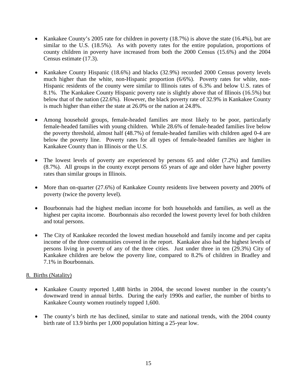- Kankakee County's 2005 rate for children in poverty (18.7%) is above the state (16.4%), but are similar to the U.S. (18.5%). As with poverty rates for the entire population, proportions of county children in poverty have increased from both the 2000 Census (15.6%) and the 2004 Census estimate (17.3).
- Kankakee County Hispanic (18.6%) and blacks (32.9%) recorded 2000 Census poverty levels much higher than the white, non-Hispanic proportion (6/6%). Poverty rates for white, non-Hispanic residents of the county were similar to Illinois rates of 6.3% and below U.S. rates of 8.1%. The Kankakee County Hispanic poverty rate is slightly above that of Illinois (16.5%) but below that of the nation (22.6%). However, the black poverty rate of 32.9% in Kankakee County is much higher than either the state at 26.0% or the nation at 24.8%.
- Among household groups, female-headed families are most likely to be poor, particularly female-headed families with young children. While 28.6% of female-headed families live below the poverty threshold, almost half (48.7%) of female-headed families with children aged 0-4 are below the poverty line. Poverty rates for all types of female-headed families are higher in Kankakee County than in Illinois or the U.S.
- The lowest levels of poverty are experienced by persons 65 and older (7.2%) and families (8.7%). All groups in the county except persons 65 years of age and older have higher poverty rates than similar groups in Illinois.
- More than on-quarter (27.6%) of Kankakee County residents live between poverty and 200% of poverty (twice the poverty level).
- Bourbonnais had the highest median income for both households and families, as well as the highest per capita income. Bourbonnais also recorded the lowest poverty level for both children and total persons.
- The City of Kankakee recorded the lowest median household and family income and per capita income of the three communities covered in the report. Kankakee also had the highest levels of persons living in poverty of any of the three cities. Just under three in ten (29.3%) City of Kankakee children are below the poverty line, compared to 8.2% of children in Bradley and 7.1% in Bourbonnais.

## 8. Births (Natality)

- Kankakee County reported 1,488 births in 2004, the second lowest number in the county's downward trend in annual births. During the early 1990s and earlier, the number of births to Kankakee County women routinely topped 1,600.
- The county's birth rte has declined, similar to state and national trends, with the 2004 county birth rate of 13.9 births per 1,000 population hitting a 25-year low.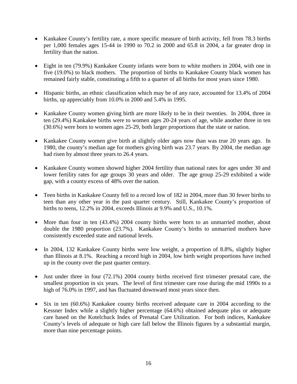- Kankakee County's fertility rate, a more specific measure of birth activity, fell from 78.3 births per 1,000 females ages 15-44 in 1990 to 70.2 in 2000 and 65.8 in 2004, a far greater drop in fertility than the nation.
- Eight in ten (79.9%) Kankakee County infants were born to white mothers in 2004, with one in five (19.0%) to black mothers. The proportion of births to Kankakee County black women has remained fairly stable, constituting a fifth to a quarter of all births for most years since 1980.
- Hispanic births, an ethnic classification which may be of any race, accounted for 13.4% of 2004 births, up appreciably from 10.0% in 2000 and 5.4% in 1995.
- Kankakee County women giving birth are more likely to be in their twenties. In 2004, three in ten (29.4%) Kankakee births were to women ages 20-24 years of age, while another three in ten (30.6%) were born to women ages 25-29, both larger proportions that the state or nation.
- Kankakee County women give birth at slightly older ages now than was true 20 years ago. In 1980, the county's median age for mothers giving birth was 23.7 years. By 2004, the median age had risen by almost three years to 26.4 years.
- Kankakee County women showed higher 2004 fertility than national rates for ages under 30 and lower fertility rates for age groups 30 years and older. The age group 25-29 exhibited a wide gap, with a county excess of 48% over the nation.
- Teen births in Kankakee County fell to a record low of 182 in 2004, more than 30 fewer births to teen than any other year in the past quarter century. Still, Kankakee County's proportion of births to teens, 12.2% in 2004, exceeds Illinois at 9.9% and U.S., 10.1%.
- More than four in ten (43.4%) 2004 county births were born to an unmarried mother, about double the 1980 proportion (23.7%). Kankakee County's births to unmarried mothers have consistently exceeded state and national levels.
- In 2004, 132 Kankakee County births were low weight, a proportion of 8.8%, slightly higher than Illinois at 8.1%. Reaching a record high in 2004, low birth weight proportions have inched up in the county over the past quarter century.
- Just under three in four (72.1%) 2004 county births received first trimester prenatal care, the smallest proportion in six years. The level of first trimester care rose during the mid 1990s to a high of 76.0% in 1997, and has fluctuated downward most years since then.
- Six in ten (60.6%) Kankakee county births received adequate care in 2004 according to the Kessner Index while a slightly higher percentage (64.6%) obtained adequate plus or adequate care based on the Kotelchuck Index of Prenatal Care Utilization. For both indices, Kankakee County's levels of adequate or high care fall below the Illinois figures by a substantial margin, more than nine percentage points.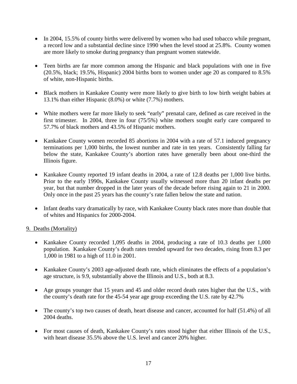- In 2004, 15.5% of county births were delivered by women who had used tobacco while pregnant, a record low and a substantial decline since 1990 when the level stood at 25.8%. County women are more likely to smoke during pregnancy than pregnant women statewide.
- Teen births are far more common among the Hispanic and black populations with one in five (20.5%, black; 19.5%, Hispanic) 2004 births born to women under age 20 as compared to 8.5% of white, non-Hispanic births.
- Black mothers in Kankakee County were more likely to give birth to low birth weight babies at 13.1% than either Hispanic (8.0%) or white (7.7%) mothers.
- White mothers were far more likely to seek "early" prenatal care, defined as care received in the first trimester. In 2004, three in four (75/5%) white mothers sought early care compared to 57.7% of black mothers and 43.5% of Hispanic mothers.
- Kankakee County women recorded 85 abortions in 2004 with a rate of 57.1 induced pregnancy terminations per 1,000 births, the lowest number and rate in ten years. Consistently falling far below the state, Kankakee County's abortion rates have generally been about one-third the Illinois figure.
- Kankakee County reported 19 infant deaths in 2004, a rate of 12.8 deaths per 1,000 live births. Prior to the early 1990s, Kankakee County usually witnessed more than 20 infant deaths per year, but that number dropped in the later years of the decade before rising again to 21 in 2000. Only once in the past 25 years has the county's rate fallen below the state and nation.
- Infant deaths vary dramatically by race, with Kankakee County black rates more than double that of whites and Hispanics for 2000-2004.

## 9. Deaths (Mortality)

- Kankakee County recorded 1,095 deaths in 2004, producing a rate of 10.3 deaths per 1,000 population. Kankakee County's death rates trended upward for two decades, rising from 8.3 per 1,000 in 1981 to a high of 11.0 in 2001.
- Kankakee County's 2003 age-adjusted death rate, which eliminates the effects of a population's age structure, is 9.9, substantially above the Illinois and U.S., both at 8.3.
- Age groups younger that 15 years and 45 and older record death rates higher that the U.S., with the county's death rate for the 45-54 year age group exceeding the U.S. rate by 42.7%
- The county's top two causes of death, heart disease and cancer, accounted for half (51.4%) of all 2004 deaths.
- For most causes of death, Kankakee County's rates stood higher that either Illinois of the U.S., with heart disease 35.5% above the U.S. level and cancer 20% higher.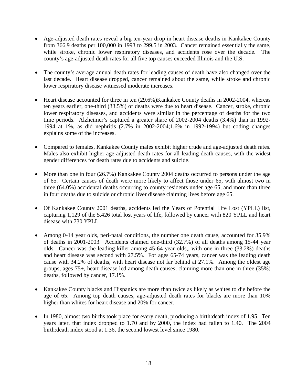- Age-adjusted death rates reveal a big ten-year drop in heart disease deaths in Kankakee County from 366.9 deaths per 100,000 in 1993 to 299.5 in 2003. Cancer remained essentially the same, while stroke, chronic lower respiratory diseases, and accidents rose over the decade. The county's age-adjusted death rates for all five top causes exceeded Illinois and the U.S.
- The county's average annual death rates for leading causes of death have also changed over the last decade. Heart disease dropped, cancer remained about the same, while stroke and chronic lower respiratory disease witnessed moderate increases.
- Heart disease accounted for three in ten  $(29.6%)$ Kankakee County deaths in 2002-2004, whereas ten years earlier, one-third (33.5%) of deaths were due to heart disease. Cancer, stroke, chronic lower respiratory diseases, and accidents were similar in the percentage of deaths for the two time periods. Alzheimer's captured a greater share of 2002-2004 deaths (3.4%) than in 1992- 1994 at 1%, as did nephritis (2.7% in 2002-2004;1.6% in 1992-1994) but coding changes explains some of the increases.
- Compared to females, Kankakee County males exhibit higher crude and age-adjusted death rates. Males also exhibit higher age-adjusted death rates for all leading death causes, with the widest gender differences for death rates due to accidents and suicide.
- More than one in four (26.7%) Kankakee County 2004 deaths occurred to persons under the age of 65. Certain causes of death were more likely to affect those under 65, with almost two in three (64.0%) accidental deaths occurring to county residents under age 65, and more than three in four deaths due to suicide or chronic liver disease claiming lives before age 65.
- Of Kankakee County 2001 deaths, accidents led the Years of Potential Life Lost (YPLL) list, capturing 1,129 of the 5,426 total lost years of life, followed by cancer with 820 YPLL and heart disease with 730 YPLL.
- Among 0-14 year olds, peri-natal conditions, the number one death cause, accounted for 35.9% of deaths in 2001-2003. Accidents claimed one-third (32.7%) of all deaths among 15-44 year olds. Cancer was the leading killer among 45-64 year olds,, with one in three (33.2%) deaths and heart disease was second with 27.5%. For ages 65-74 years, cancer was the leading death cause with 34.2% of deaths, with heart disease not far behind at 27.1%. Among the oldest age groups, ages 75+, heart disease led among death causes, claiming more than one in three (35%) deaths, followed by cancer, 17.1%.
- Kankakee County blacks and Hispanics are more than twice as likely as whites to die before the age of 65. Among top death causes, age-adjusted death rates for blacks are more than 10% higher than whites for heart disease and 20% for cancer.
- In 1980, almost two births took place for every death, producing a birth: death index of 1.95. Ten years later, that index dropped to 1.70 and by 2000, the index had fallen to 1.40. The 2004 birth:death index stood at 1.36, the second lowest level since 1980.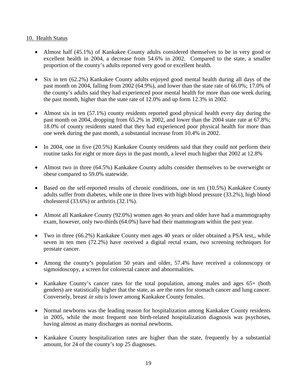## 10. Health Status

- Almost half (45.1%) of Kankakee County adults considered themselves to be in very good or excellent health in 2004, a decrease from 54.6% in 2002. Compared to the state, a smaller proportion of the county's adults reported very good or excellent health.
- Six in ten (62.2%) Kankakee County adults enjoyed good mental health during all days of the past month on 2004, falling from 2002 (64.9%), and lower than the state rate of 66.0%; 17.0% of the county's adults said they had experienced poor mental health for more than one week during the past month, higher than the state rate of 12.0% and up form 12.3% in 2002.
- Almost six in ten (57.1%) county residents reported good physical health every day during the past month on 2004, dropping from 65.2% in 2002, and lower than the 2004 state rate at 67.8%; 18.0% of county residents stated that they had experienced poor physical health for more than one week during the past month, a substantial increase from 10.4% in 2002.
- In 2004, one in five (20.5%) Kankakee County residents said that they could not perform their routine tasks for eight or more days in the past month, a level much higher that 2002 at 12.8%
- Almost two in three (64.5%) Kankakee County adults consider themselves to be overweight or obese compared to 59.0% statewide.
- Based on the self-reported results of chronic conditions, one in ten (10.5%) Kankakee County adults suffer from diabetes, while one in three lives with high blood pressure (33.2%), high blood cholesterol (33.6%) or arthritis (32.1%).
- Almost all Kankakee County (92.0%) women ages 4o years and older have had a mammography exam, however, only two-thirds (64.0%) have had their mammogram within the past year.
- Two in three (66.2%) Kankakee County men ages 40 years or older obtained a PSA test,, while seven in ten men (72.2%) have received a digital rectal exam, two screening techniques for prostate cancer.
- Among the county's population 50 years and older, 57.4% have received a colonoscopy or sigmoidoscopy, a screen for colorectal cancer and abnormalities.
- Kankakee County's cancer rates for the total population, among males and ages 65+ (both genders) are statistically higher that the state, as are the rates for stomach cancer and lung cancer. Conversely, breast in situ is lower among Kankakee County females.
- Normal newborns was the leading reason for hospitalization among Kankakee County residents in 2005, while the most frequent non birth-related hospitalization diagnosis was psychoses, having almost as many discharges as normal newborns.
- Kankakee County hospitalization rates are higher than the state, frequently by a substantial amount, for 24 of the county's top 25 diagnoses.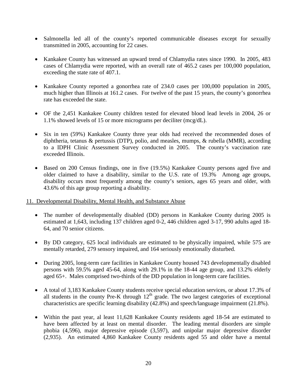- Salmonella led all of the county's reported communicable diseases except for sexually transmitted in 2005, accounting for 22 cases.
- Kankakee County has witnessed an upward trend of Chlamydia rates since 1990. In 2005, 483 cases of Chlamydia were reported, with an overall rate of 465.2 cases per 100,000 population, exceeding the state rate of 407.1.
- Kankakee County reported a gonorrhea rate of 234.0 cases per 100,000 population in 2005, much higher than Illinois at 161.2 cases. For twelve of the past 15 years, the county's gonorrhea rate has exceeded the state.
- OF the 2,451 Kankakee County children tested for elevated blood lead levels in 2004, 26 or 1.1% showed levels of 15 or more micrograms per deciliter (mcg/dL).
- Six in ten (59%) Kankakee County three year olds had received the recommended doses of diphtheria, tetanus & pertussis (DTP), polio, and measles, mumps, & rubella (MMR), according to a IDPH Clinic Assessment Survey conducted in 2005. The county's vaccination rate exceeded Illinois.
- Based on 200 Census findings, one in five (19.5%) Kankakee County persons aged five and older claimed to have a disability, similar to the U.S. rate of 19.3% Among age groups, disability occurs most frequently among the county's seniors, ages 65 years and older, with 43.6% of this age group reporting a disability.

## 11. Developmental Disability, Mental Health, and Substance Abuse

- The number of developmentally disabled (DD) persons in Kankakee County during 2005 is estimated at 1,643, including 137 children aged 0-2, 446 children aged 3-17, 990 adults aged 18- 64, and 70 senior citizens.
- By DD category, 625 local individuals are estimated to be physically impaired, while 575 are mentally retarded, 279 sensory impaired, and 164 seriously emotionally disturbed.
- During 2005, long-term care facilities in Kankakee County housed 743 developmentally disabled persons with 59.5% aged 45-64, along with 29.1% in the 18-44 age group, and 13.2% elderly aged 65+. Males comprised two-thirds of the DD population in long-term care facilities.
- A total of 3,183 Kankakee County students receive special education services, or about 17.3% of all students in the county Pre-K through  $12<sup>th</sup>$  grade. The two largest categories of exceptional characteristics are specific learning disability (42.8%) and speech/language impairment (21.8%).
- Within the past year, al least 11,628 Kankakee County residents aged 18-54 are estimated to have been affected by at least on mental disorder. The leading mental disorders are simple phobia (4,596), major depressive episode (3,597), and unipolar major depressive disorder (2,935). An estimated 4,860 Kankakee County residents aged 55 and older have a mental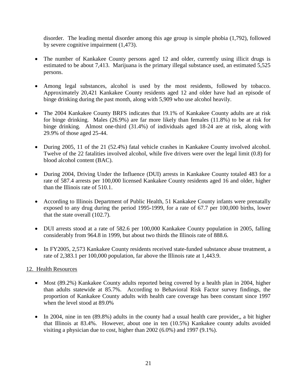disorder. The leading mental disorder among this age group is simple phobia (1,792), followed by severe cognitive impairment (1,473).

- The number of Kankakee County persons aged 12 and older, currently using illicit drugs is estimated to be about 7,413. Marijuana is the primary illegal substance used, an estimated 5,525 persons.
- Among legal substances, alcohol is used by the most residents, followed by tobacco. Approximately 20,421 Kankakee County residents aged 12 and older have had an episode of binge drinking during the past month, along with 5,909 who use alcohol heavily.
- The 2004 Kankakee County BRFS indicates that 19.1% of Kankakee County adults are at risk for binge drinking. Males (26.9%) are far more likely than females (11.8%) to be at risk for binge drinking. Almost one-third (31.4%) of individuals aged 18-24 are at risk, along with 29.9% of those aged 25-44.
- During 2005, 11 of the 21 (52.4%) fatal vehicle crashes in Kankakee County involved alcohol. Twelve of the 22 fatalities involved alcohol, while five drivers were over the legal limit (0.8) for blood alcohol content (BAC).
- During 2004, Driving Under the Influence (DUI) arrests in Kankakee County totaled 483 for a rate of 587.4 arrests per 100,000 licensed Kankakee County residents aged 16 and older, higher than the Illinois rate of 510.1.
- According to Illinois Department of Public Health, 51 Kankakee County infants were prenatally exposed to any drug during the period 1995-1999, for a rate of 67.7 per 100,000 births, lower that the state overall (102.7).
- DUI arrests stood at a rate of 582.6 per 100,000 Kankakee County population in 2005, falling considerably from 964.8 in 1999, but about two thirds the Illinois rate of 888.6.
- In FY2005, 2,573 Kankakee County residents received state-funded substance abuse treatment, a rate of 2,383.1 per 100,000 population, far above the Illinois rate at 1,443.9.

## 12. Health Resources

- Most (89.2%) Kankakee County adults reported being covered by a health plan in 2004, higher than adults statewide at 85.7%. According to Behavioral Risk Factor survey findings, the proportion of Kankakee County adults with health care coverage has been constant since 1997 when the level stood at 89.0%
- In 2004, nine in ten (89.8%) adults in the county had a usual health care provider,, a bit higher that Illinois at 83.4%. However, about one in ten (10.5%) Kankakee county adults avoided visiting a physician due to cost, higher than 2002 (6.0%) and 1997 (9.1%).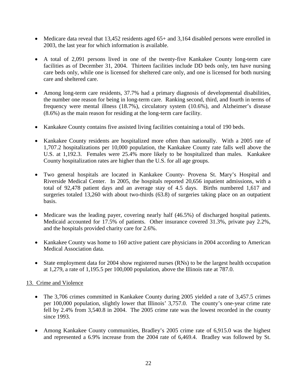- Medicare data reveal that 13,452 residents aged 65+ and 3,164 disabled persons were enrolled in 2003, the last year for which information is available.
- A total of 2,091 persons lived in one of the twenty-five Kankakee County long-term care facilities as of December 31, 2004. Thirteen facilities include DD beds only, ten have nursing care beds only, while one is licensed for sheltered care only, and one is licensed for both nursing care and sheltered care.
- Among long-term care residents, 37.7% had a primary diagnosis of developmental disabilities, the number one reason for being in long-term care. Ranking second, third, and fourth in terms of frequency were mental illness (18.7%), circulatory system (10.6%), and Alzheimer's disease (8.6%) as the main reason for residing at the long-term care facility.
- Kankakee County contains five assisted living facilities containing a total of 190 beds.
- Kankakee County residents are hospitalized more often than nationally. With a 2005 rate of 1,707.2 hospitalizations per 10,000 population, the Kankakee County rate falls well above the U.S. at 1,192.3. Females were 25.4% more likely to be hospitalized than males. Kankakee County hospitalization rates are higher than the U.S. for all age groups.
- Two general hospitals are located in Kankakee County- Provena St. Mary's Hospital and Riverside Medical Center. In 2005, the hospitals reported 20,656 inpatient admissions, with a total of 92,478 patient days and an average stay of 4.5 days. Births numbered 1,617 and surgeries totaled 13,260 with about two-thirds (63.8) of surgeries taking place on an outpatient basis.
- Medicare was the leading payer, covering nearly half (46.5%) of discharged hospital patients. Medicaid accounted for 17.5% of patients. Other insurance covered 31.3%, private pay 2.2%, and the hospitals provided charity care for 2.6%.
- Kankakee County was home to 160 active patient care physicians in 2004 according to American Medical Association data.
- State employment data for 2004 show registered nurses (RNs) to be the largest health occupation at 1,279, a rate of 1,195.5 per 100,000 population, above the Illinois rate at 787.0.

## 13. Crime and Violence

- The 3,706 crimes committed in Kankakee County during 2005 yielded a rate of 3,457.5 crimes per 100,000 population, slightly lower that Illinois' 3,757.0. The county's one-year crime rate fell by 2.4% from 3,540.8 in 2004. The 2005 crime rate was the lowest recorded in the county since 1993.
- Among Kankakee County communities, Bradley's 2005 crime rate of 6,915.0 was the highest and represented a 6.9% increase from the 2004 rate of 6,469.4. Bradley was followed by St.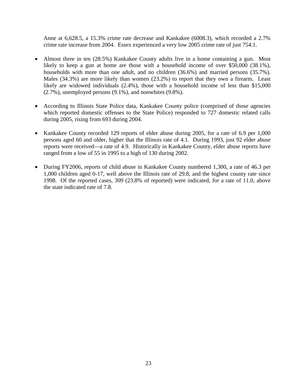Anne at 6,628.5, a 15.3% crime rate decrease and Kankakee (6008.3), which recorded a 2.7% crime rate increase from 2004. Essex experienced a very low 2005 crime rate of just 754.1.

- Almost three in ten (28.5%) Kankakee County adults live in a home containing a gun. Most likely to keep a gun at home are those with a household income of over \$50,000 (38.1%), households with more than one adult, and no children (36.6%) and married persons (35.7%). Males (34.3%) are more likely than women (23.2%) to report that they own a firearm. Least likely are widowed individuals (2.4%), those with a household income of less than \$15,000 (2.7%), unemployed persons (9.1%), and nonwhites (9.8%).
- According to Illinois State Police data, Kankakee County police (comprised of those agencies which reported domestic offenses to the State Police) responded to 727 domestic related calls during 2005, rising from 693 during 2004.
- Kankakee County recorded 129 reports of elder abuse during 2005, for a rate of 6.9 per 1,000 persons aged 60 and older, higher that the Illinois rate of 4.1. During 1993, just 92 elder abuse reports were received—a rate of 4.9. Historically in Kankakee County, elder abuse reports have ranged from a low of 55 in 1995 to a high of 130 during 2002.
- During FY2006, reports of child abuse in Kankakee County numbered 1,300, a rate of 46.3 per 1,000 children aged 0-17, well above the Illinois rate of 29.8, and the highest county rate since 1998. Of the reported cases, 309 (23.8% of reported) were indicated, for a rate of 11.0, above the state indicated rate of 7.8.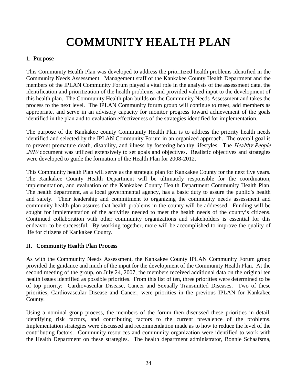# COMMUNITY HEALTH PLAN

## 1. Purpose

This Community Health Plan was developed to address the prioritized health problems identified in the Community Needs Assessment. Management staff of the Kankakee County Health Department and the members of the IPLAN Community Forum played a vital role in the analysis of the assessment data, the identification and prioritization of the health problems, and provided valued input to the development of this health plan. The Community Health plan builds on the Community Needs Assessment and takes the process to the next level. The IPLAN Community forum group will continue to meet, add members as appropriate, and serve in an advisory capacity for monitor progress toward achievement of the goals identified in the plan and to evaluation effectiveness of the strategies identified for implementation.

The purpose of the Kankakee county Community Health Plan is to address the priority health needs identified and selected by the IPLAN Community Forum in an organized approach. The overall goal is to prevent premature death, disability, and illness by fostering healthy lifestyles. The Healthy People 2010 document was utilized extensively to set goals and objectives. Realistic objectives and strategies were developed to guide the formation of the Health Plan for 2008-2012.

This Community health Plan will serve as the strategic plan for Kankakee County for the next five years. The Kankakee County Health Department will be ultimately responsible for the coordination, implementation, and evaluation of the Kankakee County Health Department Community Health Plan. The health department, as a local governmental agency, has a basic duty to assure the public's health and safety. Their leadership and commitment to organizing the community needs assessment and community health plan assures that health problems in the county will be addressed. Funding will be sought for implementation of the activities needed to meet the health needs of the county's citizens. Continued collaboration with other community organizations and stakeholders is essential for this endeavor to be successful. By working together, more will be accomplished to improve the quality of life for citizens of Kankakee County.

## II. Community Health Plan Process

As with the Community Needs Assessment, the Kankakee County IPLAN Community Forum group provided the guidance and much of the input for the development of the Community Health Plan. At the second meeting of the group, on July 24, 2007, the members received additional data on the original ten health issues identified as possible priorities. From this list of ten, three priorities were determined to be of top priority: Cardiovascular Disease, Cancer and Sexually Transmitted Diseases. Two of these priorities, Cardiovascular Disease and Cancer, were priorities in the previous IPLAN for Kankakee County.

Using a nominal group process, the members of the forum then discussed these priorities in detail, identifying risk factors, and contributing factors to the current prevalence of the problems. Implementation strategies were discussed and recommendation made as to how to reduce the level of the contributing factors. Community resources and community organization were identified to work with the Health Department on these strategies. The health department administrator, Bonnie Schaafsma,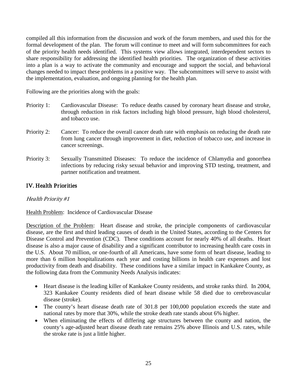compiled all this information from the discussion and work of the forum members, and used this for the formal development of the plan. The forum will continue to meet and will form subcommittees for each of the priority health needs identified. This systems view allows integrated, interdependent sectors to share responsibility for addressing the identified health priorities. The organization of these activities into a plan is a way to activate the community and encourage and support the social, and behavioral changes needed to impact these problems in a positive way. The subcommittees will serve to assist with the implementation, evaluation, and ongoing planning for the health plan.

Following are the priorities along with the goals:

- Priority 1: Cardiovascular Disease: To reduce deaths caused by coronary heart disease and stroke, through reduction in risk factors including high blood pressure, high blood cholesterol, and tobacco use.
- Priority 2: Cancer: To reduce the overall cancer death rate with emphasis on reducing the death rate from lung cancer through improvement in diet, reduction of tobacco use, and increase in cancer screenings.
- Priority 3: Sexually Transmitted Diseases: To reduce the incidence of Chlamydia and gonorrhea infections by reducing risky sexual behavior and improving STD testing, treatment, and partner notification and treatment.

## IV. Health Priorities

## Health Priority #1

## Health Problem: Incidence of Cardiovascular Disease

Description of the Problem: Heart disease and stroke, the principle components of cardiovascular disease, are the first and third leading causes of death in the United States, according to the Centers for Disease Control and Prevention (CDC). These conditions account for nearly 40% of all deaths. Heart disease is also a major cause of disability and a significant contributor to increasing health care costs in the U.S. About 70 million, or one-fourth of all Americans, have some form of heart disease, leading to more than 6 million hospitalizations each year and costing billions in health care expenses and lost productivity from death and disability. These conditions have a similar impact in Kankakee County, as the following data from the Community Needs Analysis indicates:

- Heart disease is the leading killer of Kankakee County residents, and stroke ranks third. In 2004, 323 Kankakee County residents died of heart disease while 58 died due to cerebrovascular disease (stroke).
- The county's heart disease death rate of 301.8 per 100,000 population exceeds the state and national rates by more that 30%, while the stroke death rate stands about 6% higher.
- When eliminating the effects of differing age structures between the county and nation, the county's age-adjusted heart disease death rate remains 25% above Illinois and U.S. rates, while the stroke rate is just a little higher.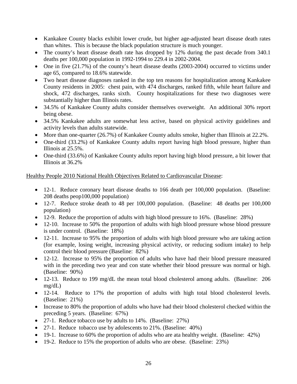- Kankakee County blacks exhibit lower crude, but higher age-adjusted heart disease death rates than whites. This is because the black population structure is much younger.
- The county's heart disease death rate has dropped by 12% during the past decade from 340.1 deaths per 100,000 population in 1992-1994 to 229.4 in 2002-2004.
- One in five (21.7%) of the county's heart disease deaths (2003-2004) occurred to victims under age 65, compared to 18.6% statewide.
- Two heart disease diagnoses ranked in the top ten reasons for hospitalization among Kankakee County residents in 2005: chest pain, with 474 discharges, ranked fifth, while heart failure and shock, 472 discharges, ranks sixth. County hospitalizations for these two diagnoses were substantially higher than Illinois rates.
- 34.5% of Kankakee County adults consider themselves overweight. An additional 30% report being obese.
- 34.5% Kankakee adults are somewhat less active, based on physical activity guidelines and activity levels than adults statewide.
- More than one-quarter (26.7%) of Kankakee County adults smoke, higher than Illinois at 22.2%.
- One-third (33.2%) of Kankakee County adults report having high blood pressure, higher than Illinois at 25.5%.
- One-third (33.6%) of Kankakee County adults report having high blood pressure, a bit lower that Illinois at 36.2%

## Healthy People 2010 National Health Objectives Related to Cardiovascular Disease:

- 12-1. Reduce coronary heart disease deaths to 166 death per 100,000 population. (Baseline: 208 deaths peop100,000 population)
- 12-7. Reduce stroke death to 48 per 100,000 population. (Baseline: 48 deaths per 100,000 population)
- 12-9. Reduce the proportion of adults with high blood pressure to 16%. (Baseline: 28%)
- 12-10. Increase to 50% the proportion of adults with high blood pressure whose blood pressure is under control. (Baseline: 18%)
- 12-11. Increase to 95% the proportion of adults with high blood pressure who are taking action (for example, losing weight, increasing physical activity, or reducing sodium intake) to help control their blood pressure (Baseline: 82%)
- 12-12. Increase to 95% the proportion of adults who have had their blood pressure measured with in the preceding two year and con state whether their blood pressure was normal or high. (Baseline: 90%)
- 12-13. Reduce to 199 mg/dL the mean total blood cholesterol among adults. (Baseline: 206 mg/dL)
- 12-14. Reduce to 17% the proportion of adults with high total blood cholesterol levels. (Baseline: 21%)
- Increase to 80% the proportion of adults who have had their blood cholesterol checked within the preceding 5 years. (Baseline: 67%)
- 27-1. Reduce tobacco use by adults to 14%. (Baseline: 27%)
- 27-1. Reduce tobacco use by adolescents to 21%. (Baseline: 40%)
- 19-1. Increase to 60% the proportion of adults who are ata healthy weight. (Baseline: 42%)
- 19-2. Reduce to 15% the proportion of adults who are obese. (Baseline: 23%)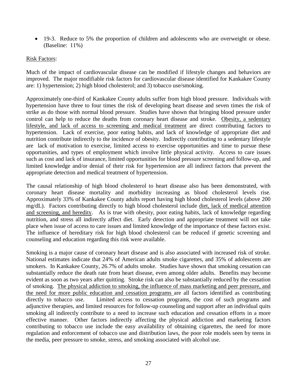• 19-3. Reduce to 5% the proportion of children and adolescents who are overweight or obese. (Baseline: 11%)

## Risk Factors:

Much of the impact of cardiovascular disease can be modified if lifestyle changes and behaviors are improved. The major modifiable risk factors for cardiovascular disease identified for Kankakee County are: 1) hypertension; 2) high blood cholesterol; and 3) tobacco use/smoking.

Approximately one-third of Kankakee County adults suffer from high blood pressure. Individuals with hypertension have three to four times the risk of developing heart disease and seven times the risk of strike as do those with normal blood pressure. Studies have shown that bringing blood pressure under control can help to reduce the deaths from coronary heart disease and stroke. Obesity, a sedentary lifestyle, and lack of access to screening and medical treatment are direct contributing factors to hypertension. Lack of exercise, poor eating habits, and lack of knowledge of appropriate diet and nutrition contribute indirectly to the incidence of obesity. Indirectly contributing to a sedentary lifestyle are lack of motivation to exercise, limited access to exercise opportunities and time to pursue these opportunities, and types of employment which involve little physical activity. Access to care issues such as cost and lack of insurance, limited opportunities for blood pressure screening and follow-up, and limited knowledge and/or denial of their risk for hypertension are all indirect factors that prevent the appropriate detection and medical treatment of hypertension.

The causal relationship of high blood cholesterol to heart disease also has been demonstrated, with coronary heart disease mortality and morbidity increasing as blood cholesterol levels rise. Approximately 33% of Kankakee County adults report having high blood cholesterol levels (above 200 mg/dL). Factors contributing directly to high blood cholesterol include diet, lack of medical attention and screening, and heredity. As is true with obesity, poor eating habits, lack of knowledge regarding nutrition, and stress all indirectly affect diet. Early detection and appropriate treatment will not take place when issue of access to care issues and limited knowledge of the importance of these factors exist. The influence of hereditary risk for high blood cholesterol can be reduced if genetic screening and counseling and education regarding this risk were available.

Smoking is a major cause of coronary heart disease and is also associated with increased risk of stroke. National estimates indicate that 24% of American adults smoke cigarettes, and 35% of adolescents are smokers. In Kankakee County, 26.7% of adults smoke. Studies have shown that smoking cessation can substantially reduce the death rate from heart disease, even among older adults. Benefits may become evident as soon as two years after quitting. Stroke risk can also be substantially reduced by the cessation of smoking. The physical addiction to smoking, the influence of mass marketing and peer pressure, and the need for more public education and cessation programs are all factors identified as contributing directly to tobacco use. Limited access to cessation programs, the cost of such programs and adjunctive therapies, and limited resources for follow-up counseling and support after an individual quits smoking all indirectly contribute to a need to increase such education and cessation efforts in a more effective manner. Other factors indirectly affecting the physical addiction and marketing factors contributing to tobacco use include the easy availability of obtaining cigarettes, the need for more regulation and enforcement of tobacco use and distribution laws, the poor role models seen by teens in the media, peer pressure to smoke, stress, and smoking associated with alcohol use.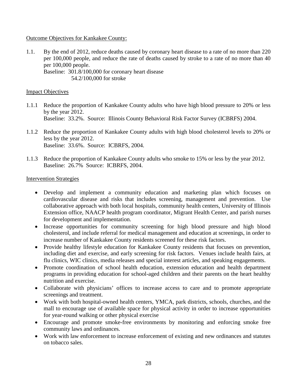## Outcome Objectives for Kankakee County:

1.1. By the end of 2012, reduce deaths caused by coronary heart disease to a rate of no more than 220 per 100,000 people, and reduce the rate of deaths caused by stroke to a rate of no more than 40 per 100,000 people. Baseline: 301.8/100,000 for coronary heart disease 54.2/100,000 for stroke

## **Impact Objectives**

- 1.1.1 Reduce the proportion of Kankakee County adults who have high blood pressure to 20% or less by the year 2012. Baseline: 33.2%. Source: Illinois County Behavioral Risk Factor Survey (ICBRFS) 2004.
- 1.1.2 Reduce the proportion of Kankakee County adults with high blood cholesterol levels to 20% or less by the year 2012. Baseline: 33.6%. Source: ICBRFS, 2004.
- 1.1.3 Reduce the proportion of Kankakee County adults who smoke to 15% or less by the year 2012. Baseline: 26.7% Source: ICBRFS, 2004.

## Intervention Strategies

- Develop and implement a community education and marketing plan which focuses on cardiovascular disease and risks that includes screening, management and prevention. Use collaborative approach with both local hospitals, community health centers, University of Illinois Extension office, NAACP health program coordinator, Migrant Health Center, and parish nurses for development and implementation.
- Increase opportunities for community screening for high blood pressure and high blood cholesterol, and include referral for medical management and education at screenings, in order to increase number of Kankakee County residents screened for these risk factors.
- Provide healthy lifestyle education for Kankakee County residents that focuses on prevention, including diet and exercise, and early screening for risk factors. Venues include health fairs, at flu clinics, WIC clinics, media releases and special interest articles, and speaking engagements.
- Promote coordination of school health education, extension education and health department programs in providing education for school-aged children and their parents on the heart healthy nutrition and exercise.
- Collaborate with physicians' offices to increase access to care and to promote appropriate screenings and treatment.
- Work with both hospital-owned health centers, YMCA, park districts, schools, churches, and the mall to encourage use of available space for physical activity in order to increase opportunities for year-round walking or other physical exercise
- Encourage and promote smoke-free environments by monitoring and enforcing smoke free community laws and ordinances.
- Work with law enforcement to increase enforcement of existing and new ordinances and statutes on tobacco sales.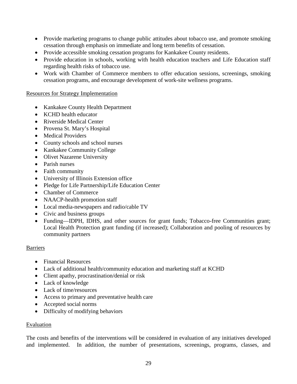- Provide marketing programs to change public attitudes about tobacco use, and promote smoking cessation through emphasis on immediate and long term benefits of cessation.
- Provide accessible smoking cessation programs for Kankakee County residents.
- Provide education in schools, working with health education teachers and Life Education staff regarding health risks of tobacco use.
- Work with Chamber of Commerce members to offer education sessions, screenings, smoking cessation programs, and encourage development of work-site wellness programs.

## Resources for Strategy Implementation

- Kankakee County Health Department
- KCHD health educator
- Riverside Medical Center
- Provena St. Mary's Hospital
- Medical Providers
- County schools and school nurses
- Kankakee Community College
- Olivet Nazarene University
- Parish nurses
- Faith community
- University of Illinois Extension office
- Pledge for Life Partnership/Life Education Center
- Chamber of Commerce
- NAACP-health promotion staff
- Local media-newspapers and radio/cable TV
- Civic and business groups
- Funding—IDPH, IDHS, and other sources for grant funds; Tobacco-free Communities grant; Local Health Protection grant funding (if increased); Collaboration and pooling of resources by community partners

#### Barriers

- Financial Resources
- Lack of additional health/community education and marketing staff at KCHD
- Client apathy, procrastination/denial or risk
- Lack of knowledge
- Lack of time/resources
- Access to primary and preventative health care
- Accepted social norms
- Difficulty of modifying behaviors

## Evaluation

The costs and benefits of the interventions will be considered in evaluation of any initiatives developed and implemented. In addition, the number of presentations, screenings, programs, classes, and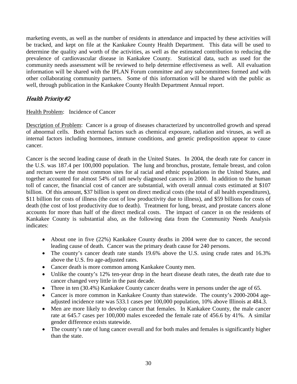marketing events, as well as the number of residents in attendance and impacted by these activities will be tracked, and kept on file at the Kankakee County Health Department. This data will be used to determine the quality and worth of the activities, as well as the estimated contribution to reducing the prevalence of cardiovascular disease in Kankakee County. Statistical data, such as used for the community needs assessment will be reviewed to help determine effectiveness as well. All evaluation information will be shared with the IPLAN Forum committee and any subcommittees formed and with other collaborating community partners. Some of this information will be shared with the public as well, through publication in the Kankakee County Health Department Annual report.

## Health Priority #2

Health Problem: Incidence of Cancer

Description of Problem: Cancer is a group of diseases characterized by uncontrolled growth and spread of abnormal cells. Both external factors such as chemical exposure, radiation and viruses, as well as internal factors including hormones, immune conditions, and genetic predisposition appear to cause cancer.

Cancer is the second leading cause of death in the United States. In 2004, the death rate for cancer in the U.S. was 187.4 per 100,000 population. The lung and bronchus, prostate, female breast, and colon and rectum were the most common sites for al racial and ethnic populations in the United States, and together accounted for almost 54% of tall newly diagnosed cancers in 2000. In addition to the human toll of cancer, the financial cost of cancer are substantial, with overall annual costs estimated at \$107 billion. Of this amount, \$37 billion is spent on direct medical costs (the total of all health expenditures), \$11 billion for costs of illness (the cost of low productivity due to illness), and \$59 billions for costs of death (the cost of lost productivity due to death). Treatment for lung, breast, and prostate cancers alone accounts for more than half of the direct medical costs. The impact of cancer in on the residents of Kankakee County is substantial also, as the following data from the Community Needs Analysis indicates:

- About one in five (22%) Kankakee County deaths in 2004 were due to cancer, the second leading cause of death. Cancer was the primary death cause for 240 persons.
- The county's cancer death rate stands 19.6% above the U.S. using crude rates and 16.3% above the U.S. fro age-adjusted rates.
- Cancer death is more common among Kankakee County men.
- Unlike the county's 12% ten-year drop in the heart disease death rates, the death rate due to cancer changed very little in the past decade.
- Three in ten (30.4%) Kankakee County cancer deaths were in persons under the age of 65.
- Cancer is more common in Kankakee County than statewide. The county's 2000-2004 ageadjusted incidence rate was 533.1 cases per 100,000 population, 10% above Illinois at 484.3.
- Men are more likely to develop cancer that females. In Kankakee County, the male cancer rate at 645.7 cases per 100,000 males exceeded the female rate of 456.6 by 41%. A similar gender difference exists statewide.
- The county's rate of lung cancer overall and for both males and females is significantly higher than the state.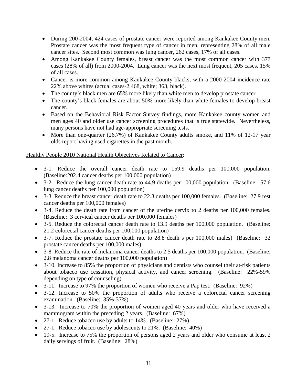- During 200-2004, 424 cases of prostate cancer were reported among Kankakee County men. Prostate cancer was the most frequent type of cancer in men, representing 28% of all male cancer sites. Second most common was lung cancer, 262 cases, 17% of all cases.
- Among Kankakee County females, breast cancer was the most common cancer with 377 cases (28% of all) from 2000-2004. Lung cancer was the next most frequent, 205 cases, 15% of all cases.
- Cancer is more common among Kankakee County blacks, with a 2000-2004 incidence rate 22% above whites (actual cases-2,468, white; 363, black).
- The county's black men are 65% more likely than white men to develop prostate cancer.
- The county's black females are about 50% more likely than white females to develop breast cancer.
- Based on the Behavioral Risk Factor Survey findings, more Kankakee county women and men ages 40 and older use cancer screening procedures that is true statewide. Nevertheless, many persons have not had age-appropriate screening tests.
- More than one-quarter (26.7%) of Kankakee County adults smoke, and 11% of 12-17 year olds report having used cigarettes in the past month.

## Healthy People 2010 National Health Objectives Related to Cancer:

- 3-1. Reduce the overall cancer death rate to 159.9 deaths per 100,000 population. (Baseline:202.4 cancer deaths per 100,000 population)
- 3-2. Reduce the lung cancer death rate to 44.9 deaths per 100,000 population. (Baseline: 57.6) lung cancer deaths per 100,000 population)
- 3-3. Reduce the breast cancer death rate to 22.3 deaths per 100,000 females. (Baseline: 27.9 rest cancer deaths per 100,000 females)
- 3-4. Reduce the death rate from cancer of the uterine cervix to 2 deaths per 100,000 females. (Baseline: 3 cervical cancer deaths per 100,000 females)
- 3-5. Reduce the colorectal cancer death rate to 13.9 deaths per 100,000 population. (Baseline: 21.2 colorectal cancer deaths per 100,000 population)
- 3-7. Reduce the prostate cancer death rate to 28.8 death s per 100,000 males) (Baseline: 32 prostate cancer deaths per 100,000 males)
- 3-8. Reduce the rate of melanoma cancer deaths to 2.5 deaths per 100,000 population. (Baseline: 2.8 melanoma cancer deaths per 100,000 population)
- 3-10. Increase to 85% the proportion of physicians and dentists who counsel their at-risk patients about tobacco use cessation, physical activity, and cancer screening. (Baseline: 22%-59% depending on type of counseling)
- 3-11. Increase to 97% the proportion of women who receive a Pap test. (Baseline: 92%)
- 3-12. Increase to 50% the proportion of adults who receive a colorectal cancer screening examination. (Baseline: 35%-37%)
- 3-13. Increase to 70% the proportion of women aged 40 years and older who have received a mammogram within the preceding 2 years. (Baseline: 67%)
- 27-1. Reduce tobacco use by adults to 14%. (Baseline: 27%)
- 27-1. Reduce tobacco use by adolescents to 21%. (Baseline: 40%)
- 19-5. Increase to 75% the proportion of persons aged 2 years and older who consume at least 2 daily servings of fruit. (Baseline: 28%)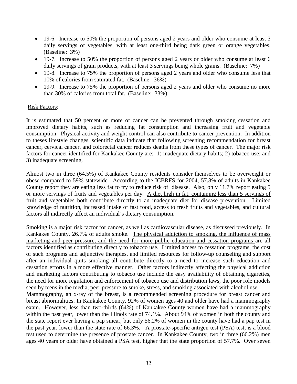- 19-6. Increase to 50% the proportion of persons aged 2 years and older who consume at least 3 daily servings of vegetables, with at least one-third being dark green or orange vegetables. (Baseline: 3%)
- 19-7. Increase to 50% the proportion of persons aged 2 years or older who consume at least 6 daily servings of grain products, with at least 3 servings being whole grains. (Baseline: 7%)
- 19-8. Increase to 75% the proportion of persons aged 2 years and older who consume less that 10% of calories from saturated fat. (Baseline: 36%)
- 19-9. Increase to 75% the proportion of persons aged 2 years and older who consume no more than 30% of calories from total fat. (Baseline: 33%)

## Risk Factors:

It is estimated that 50 percent or more of cancer can be prevented through smoking cessation and improved dietary habits, such as reducing fat consumption and increasing fruit and vegetable consumption. Physical activity and weight control can also contribute to cancer prevention. In addition to theses lifestyle changes, scientific data indicate that following screening recommendation for breast cancer, cervical cancer, and colorectal cancer reduces deaths from these types of cancer. The major risk factors for cancer identified for Kankakee County are: 1) inadequate dietary habits; 2) tobacco use; and 3) inadequate screening.

Almost two in three (64.5%) of Kankakee County residents consider themselves to be overweight or obese compared to 59% statewide. According to the ICBRFS for 2004, 57.8% of adults in Kankakee County report they are eating less fat to try to reduce risk of disease. Also, only 11.7% report eating 5 or more servings of fruits and vegetables per day. A diet high in fat, containing less than 5 servings of fruit and vegetables both contribute directly to an inadequate diet for disease prevention. Limited knowledge of nutrition, increased intake of fast food, access to fresh fruits and vegetables, and cultural factors all indirectly affect an individual's dietary consumption.

Smoking is a major risk factor for cancer, as well as cardiovascular disease, as discussed previously. In Kankakee County, 26.7% of adults smoke. The physical addiction to smoking, the influence of mass marketing and peer pressure, and the need for more public education and cessation programs are all factors identified as contributing directly to tobacco use. Limited access to cessation programs, the cost of such programs and adjunctive therapies, and limited resources for follow-up counseling and support after an individual quits smoking all contribute directly to a need to increase such education and cessation efforts in a more effective manner. Other factors indirectly affecting the physical addiction and marketing factors contributing to tobacco use include the easy availability of obtaining cigarettes, the need for more regulation and enforcement of tobacco use and distribution laws, the poor role models seen by teens in the media, peer pressure to smoke, stress, and smoking associated with alcohol use. Mammography, an x-ray of the breast, is a recommended screening procedure for breast cancer and breast abnormalities. In Kankakee County, 92% of women ages 40 and older have had a mammography exam. However, less than two-thirds (64%) of Kankakee County women have had a mammography within the past year, lower than the Illinois rate of 74.1%. About 94% of women in both the county and the state report ever having a pap smear, but only 56.2% of women in the county have had a pap test in the past year, lower than the state rate of 66.3%. A prostate-specific antigen test (PSA) test, is a blood test used to determine the presence of prostate cancer. In Kankakee County, two in three (66.2%) men ages 40 years or older have obtained a PSA test, higher that the state proportion of 57.7%. Over seven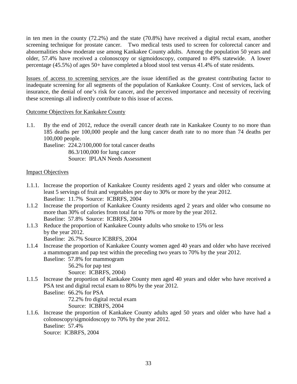in ten men in the county (72.2%) and the state (70.8%) have received a digital rectal exam, another screening technique for prostate cancer. Two medical tests used to screen for colorectal cancer and abnormalities show moderate use among Kankakee County adults. Among the population 50 years and older, 57.4% have received a colonoscopy or sigmoidoscopy, compared to 49% statewide. A lower percentage (45.5%) of ages 50+ have completed a blood stool test versus 41.4% of state residents.

Issues of access to screening services are the issue identified as the greatest contributing factor to inadequate screening for all segments of the population of Kankakee County. Cost of services, lack of insurance, the denial of one's risk for cancer, and the perceived importance and necessity of receiving these screenings all indirectly contribute to this issue of access.

## Outcome Objectives for Kankakee County

1.1. By the end of 2012, reduce the overall cancer death rate in Kankakee County to no more than 185 deaths per 100,000 people and the lung cancer death rate to no more than 74 deaths per 100,000 people.

Baseline: 224.2/100,000 for total cancer deaths 86.3/100,000 for lung cancer Source: IPLAN Needs Assessment

## Impact Objectives

- 1.1.1. Increase the proportion of Kankakee County residents aged 2 years and older who consume at least 5 servings of fruit and vegetables per day to 30% or more by the year 2012. Baseline: 11.7% Source: ICBRFS, 2004
- 1.1.2 Increase the proportion of Kankakee County residents aged 2 years and older who consume no more than 30% of calories from total fat to 70% or more by the year 2012. Baseline: 57.8% Source: ICBRFS, 2004
- 1.1.3 Reduce the proportion of Kankakee County adults who smoke to 15% or less by the year 2012. Baseline: 26.7% Source ICBRFS, 2004
- 1.1.4 Increase the proportion of Kankakee County women aged 40 years and older who have received a mammogram and pap test within the preceding two years to 70% by the year 2012.

Baseline: 57.8% for mammogram 56.2% for pap test Source: ICBRFS, 2004)

1.1.5 Increase the proportion of Kankakee County men aged 40 years and older who have received a PSA test and digital rectal exam to 80% by the year 2012.

Baseline: 66.2% for PSA 72.2% fro digital rectal exam Source: ICBRFS, 2004

1.1.6. Increase the proportion of Kankakee County adults aged 50 years and older who have had a colonoscopy/sigmoidoscopy to 70% by the year 2012. Baseline: 57.4% Source: ICBRFS, 2004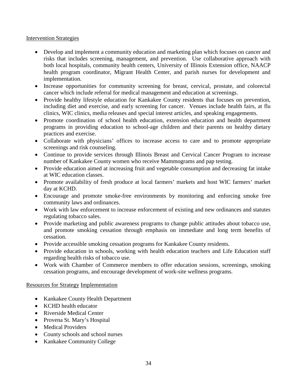## Intervention Strategies

- Develop and implement a community education and marketing plan which focuses on cancer and risks that includes screening, management, and prevention. Use collaborative approach with both local hospitals, community health centers, University of Illinois Extension office, NAACP health program coordinator, Migrant Health Center, and parish nurses for development and implementation.
- Increase opportunities for community screening for breast, cervical, prostate, and colorectal cancer which include referral for medical management and education at screenings.
- Provide healthy lifestyle education for Kankakee County residents that focuses on prevention, including diet and exercise, and early screening for cancer. Venues include health fairs, at flu clinics, WIC clinics, media releases and special interest articles, and speaking engagements.
- Promote coordination of school health education, extension education and health department programs in providing education to school-age children and their parents on healthy dietary practices and exercise.
- Collaborate with physicians' offices to increase access to care and to promote appropriate screenings and risk counseling.
- Continue to provide services through Illinois Breast and Cervical Cancer Program to increase number of Kankakee County women who receive Mammograms and pap testing.
- Provide education aimed at increasing fruit and vegetable consumption and decreasing fat intake at WIC education classes.
- Promote availability of fresh produce at local farmers' markets and host WIC farmers' market day at KCHD.
- Encourage and promote smoke-free environments by monitoring and enforcing smoke free community laws and ordinances.
- Work with law enforcement to increase enforcement of existing and new ordinances and statutes regulating tobacco sales.
- Provide marketing and public awareness programs to change public attitudes about tobacco use, and promote smoking cessation through emphasis on immediate and long term benefits of cessation.
- Provide accessible smoking cessation programs for Kankakee County residents.
- Provide education in schools, working with health education teachers and Life Education staff regarding health risks of tobacco use.
- Work with Chamber of Commerce members to offer education sessions, screenings, smoking cessation programs, and encourage development of work-site wellness programs.

## Resources for Strategy Implementation

- Kankakee County Health Department
- KCHD health educator
- Riverside Medical Center
- Provena St. Mary's Hospital
- Medical Providers
- County schools and school nurses
- Kankakee Community College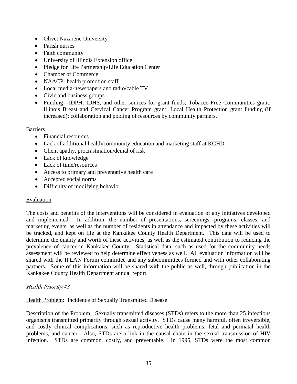- Olivet Nazarene University
- Parish nurses
- Faith community
- University of Illinois Extension office
- Pledge for Life Partnership/Life Education Center
- Chamber of Commerce
- NAACP- health promotion staff
- Local media-newspapers and radio/cable TV
- Civic and business groups
- Funding—IDPH, IDHS, and other sources for grant funds; Tobacco-Free Communities grant; Illinois Breast and Cervical Cancer Program grant; Local Health Protection grant funding (if increased); collaboration and pooling of resources by community partners.

## **Barriers**

- Financial resources
- Lack of additional health/community education and marketing staff at KCHD
- Client apathy, procrastination/denial of risk
- Lack of knowledge
- Lack of time/resources
- Access to primary and preventative health care
- Accepted social norms
- Difficulty of modifying behavior

## Evaluation

The costs and benefits of the interventions will be considered in evaluation of any initiatives developed and implemented. In addition, the number of presentations, screenings, programs, classes, and marketing events, as well as the number of residents in attendance and impacted by these activities will be tracked, and kept on file at the Kankakee County Health Department. This data will be used to determine the quality and worth of these activities, as well as the estimated contribution to reducing the prevalence of cancer in Kankakee County. Statistical data, such as used for the community needs assessment will be reviewed to help determine effectiveness as well. All evaluation information will be shared with the IPLAN Forum committee and any subcommittees formed and with other collaborating partners. Some of this information will be shared with the public as well, through publication in the Kankakee County Health Department annual report.

## Health Priority #3

Health Problem: Incidence of Sexually Transmitted Disease

Description of the Problem: Sexually transmitted diseases (STDs) refers to the more than 25 infectious organisms transmitted primarily through sexual activity. STDs cause many harmful, often irreversible, and costly clinical complications, such as reproductive health problems, fetal and perinatal health problems, and cancer. Also, STDs are a link in the causal chain in the sexual transmission of HIV infection. STDs are common, costly, and preventable. In 1995, STDs were the most common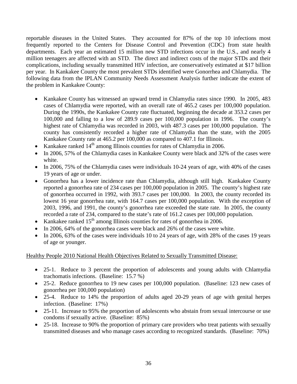reportable diseases in the United States. They accounted for 87% of the top 10 infections most frequently reported to the Centers for Disease Control and Prevention (CDC) from state health departments. Each year an estimated 15 million new STD infections occur in the U.S., and nearly 4 million teenagers are affected with an STD. The direct and indirect costs of the major STDs and their complications, including sexually transmitted HIV infection, are conservatively estimated at \$17 billion per year. In Kankakee County the most prevalent STDs identified were Gonorrhea and Chlamydia. The following data from the IPLAN Community Needs Assessment Analysis further indicate the extent of the problem in Kankakee County:

- Kankakee County has witnessed an upward trend in Chlamydia rates since 1990. In 2005, 483 cases of Chlamydia were reported, with an overall rate of 465.2 cases per 100,000 population. During the 1990s, the Kankakee County rate fluctuated, beginning the decade at 353.2 cases per 100,000 and falling to a low of 289.9 cases per 100,000 population in 1996. The county's highest rate of Chlamydia was recorded in 2003, with 487.3 cases per 100,000 population. The county has consistently recorded a higher rate of Chlamydia than the state, with the 2005 Kankakee County rate at 465.2 per 100,000 as compared to 407.1 for Illinois.
- Kankakee ranked  $14<sup>th</sup>$  among Illinois counties for rates of Chlamydia in 2006.
- In 2006, 57% of the Chlamydia cases in Kankakee County were black and 32% of the cases were white.
- In 2006, 75% of the Chlamydia cases were individuals 10-24 years of age, with 40% of the cases 19 years of age or under.
- Gonorrhea has a lower incidence rate than Chlamydia, although still high. Kankakee County reported a gonorrhea rate of 234 cases per 100,000 population in 2005. The county's highest rate of gonorrhea occurred in 1992, with 393.7 cases per 100,000. In 2003, the county recorded its lowest 16 year gonorrhea rate, with 164.7 cases per 100,000 population. With the exception of 2003, 1996, and 1991, the county's gonorrhea rate exceeded the state rate. In 2005, the county recorded a rate of 234, compared to the state's rate of 161.2 cases per 100,000 population.
- Kankakee ranked  $15<sup>th</sup>$  among Illinois counties for rates of gonorrhea in 2006.
- In 2006, 64% of the gonorrhea cases were black and 26% of the cases were white.
- In 2006, 63% of the cases were individuals 10 to 24 years of age, with 28% of the cases 19 years of age or younger.

## Healthy People 2010 National Health Objectives Related to Sexually Transmitted Disease:

- 25-1. Reduce to 3 percent the proportion of adolescents and young adults with Chlamydia trachomatis infections. (Baseline: 15.7 %)
- 25-2. Reduce gonorrhea to 19 new cases per 100,000 population. (Baseline: 123 new cases of gonorrhea per 100,000 population)
- 25-4. Reduce to 14% the proportion of adults aged 20-29 years of age with genital herpes infection. (Baseline: 17%)
- 25-11. Increase to 95% the proportion of adolescents who abstain from sexual intercourse or use condoms if sexually active. (Baseline: 85%)
- 25-18. Increase to 90% the proportion of primary care providers who treat patients with sexually transmitted diseases and who manage cases according to recognized standards. (Baseline: 70%)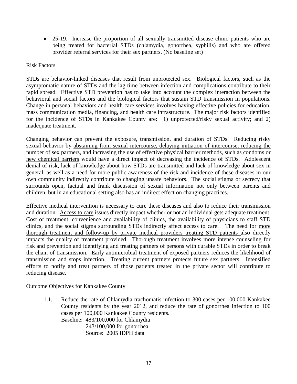• 25-19. Increase the proportion of all sexually transmitted disease clinic patients who are being treated for bacterial STDs (chlamydia, gonorrhea, syphilis) and who are offered provider referral services for their sex partners. (No baseline set)

## Risk Factors

STDs are behavior-linked diseases that result from unprotected sex. Biological factors, such as the asymptomatic nature of STDs and the lag time between infection and complications contribute to their rapid spread. Effective STD prevention has to take into account the complex interaction between the behavioral and social factors and the biological factors that sustain STD transmission in populations. Change in personal behaviors and health care services involves having effective policies for education, mass communication media, financing, and health care infrastructure. The major risk factors identified for the incidence of STDs in Kankakee County are: 1) unprotected/risky sexual activity; and 2) inadequate treatment.

Changing behavior can prevent the exposure, transmission, and duration of STDs. Reducing risky sexual behavior by abstaining from sexual intercourse, delaying initiation of intercourse, reducing the number of sex partners, and increasing the use of effective physical barrier methods, such as condoms or new chemical barriers would have a direct impact of decreasing the incidence of STDs. Adolescent denial of risk, lack of knowledge about how STDs are transmitted and lack of knowledge about sex in general, as well as a need for more public awareness of the risk and incidence of these diseases in our own community indirectly contribute to changing unsafe behaviors. The social stigma or secrecy that surrounds open, factual and frank discussion of sexual information not only between parents and children, but in an educational setting also has an indirect effect on changing practices.

Effective medical intervention is necessary to cure these diseases and also to reduce their transmission and duration. Access to care issues directly impact whether or not an individual gets adequate treatment. Cost of treatment, convenience and availability of clinics, the availability of physicians to staff STD clinics, and the social stigma surrounding STDs indirectly affect access to care. The need for more thorough treatment and follow-up by private medical providers treating STD patients also directly impacts the quality of treatment provided. Thorough treatment involves more intense counseling for risk and prevention and identifying and treating partners of persons with curable STDs in order to break the chain of transmission. Early antimicrobial treatment of exposed partners reduces the likelihood of transmission and stops infection. Treating current partners protects future sex partners. Intensified efforts to notify and treat partners of those patients treated in the private sector will contribute to reducing disease.

## Outcome Objectives for Kankakee County

1.1. Reduce the rate of Chlamydia trachomatis infection to 300 cases per 100,000 Kankakee County residents by the year 2012, and reduce the rate of gonorrhea infection to 100 cases per 100,000 Kankakee County residents. Baseline: 483/100,000 for Chlamydia 243/100,000 for gonorrhea Source: 2005 IDPH data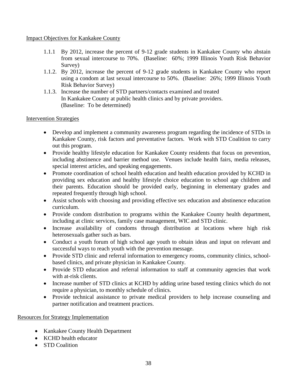## Impact Objectives for Kankakee County

- 1.1.1 By 2012, increase the percent of 9-12 grade students in Kankakee County who abstain from sexual intercourse to 70%. (Baseline: 60%; 1999 Illinois Youth Risk Behavior Survey)
- 1.1.2. By 2012, increase the percent of 9-12 grade students in Kankakee County who report using a condom at last sexual intercourse to 50%. (Baseline: 26%; 1999 Illinois Youth Risk Behavior Survey)
- 1.1.3. Increase the number of STD partners/contacts examined and treated In Kankakee County at public health clinics and by private providers. (Baseline: To be determined)

## Intervention Strategies

- Develop and implement a community awareness program regarding the incidence of STDs in Kankakee County, risk factors and preventative factors. Work with STD Coalition to carry out this program.
- Provide healthy lifestyle education for Kankakee County residents that focus on prevention, including abstinence and barrier method use. Venues include health fairs, media releases, special interest articles, and speaking engagements.
- Promote coordination of school health education and health education provided by KCHD in providing sex education and healthy lifestyle choice education to school age children and their parents. Education should be provided early, beginning in elementary grades and repeated frequently through high school.
- Assist schools with choosing and providing effective sex education and abstinence education curriculum.
- Provide condom distribution to programs within the Kankakee County health department, including at clinic services, family case management, WIC and STD clinic.
- Increase availability of condoms through distribution at locations where high risk heterosexuals gather such as bars.
- Conduct a youth forum of high school age youth to obtain ideas and input on relevant and successful ways to reach youth with the prevention message.
- Provide STD clinic and referral information to emergency rooms, community clinics, schoolbased clinics, and private physician in Kankakee County.
- Provide STD education and referral information to staff at community agencies that work with at-risk clients.
- Increase number of STD clinics at KCHD by adding urine based testing clinics which do not require a physician, to monthly schedule of clinics.
- Provide technical assistance to private medical providers to help increase counseling and partner notification and treatment practices.

## Resources for Strategy Implementation

- Kankakee County Health Department
- KCHD health educator
- STD Coalition